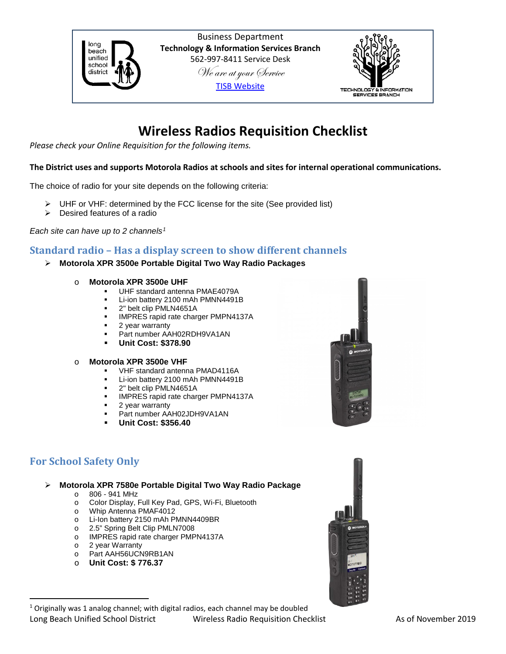

Business Department **Technology & Information Services Branch** 562-997-8411 Service Desk We are at your Service [TISB Website](https://www.lbschools.net/Departments/Information_Services/)



# **Wireless Radios Requisition Checklist**

*Please check your Online Requisition for the following items.*

#### **The District uses and supports Motorola Radios at schools and sites for internal operational communications.**

The choice of radio for your site depends on the following criteria:

- $\triangleright$  UHF or VHF: determined by the FCC license for the site (See provided list)
- $\triangleright$  Desired features of a radio

*Each site can have up to 2 channels[1](#page-0-0)*

## **Standard radio – Has a display screen to show different channels**

- **Motorola XPR 3500e Portable Digital Two Way Radio Packages**
	- o **Motorola XPR 3500e UHF**
		- UHF standard antenna PMAE4079A
		- **Li-ion battery 2100 mAh PMNN4491B**
		- 2" belt clip PMLN4651A
		- IMPRES rapid rate charger PMPN4137A
		- 2 year warranty
		- **Part number AAH02RDH9VA1AN**
		- **Unit Cost: \$378.90**

#### o **Motorola XPR 3500e VHF**

- VHF standard antenna PMAD4116A
- Li-ion battery 2100 mAh PMNN4491B<br>■ 2" belt clip PMLN4651A
- 2" belt clip PMLN4651A<br>■ IMPRES rapid rate chare
- IMPRES rapid rate charger PMPN4137A
- 2 year warranty
- Part number AAH02JDH9VA1AN
- **Unit Cost: \$356.40**

# **For School Safety Only**

**Motorola XPR 7580e Portable Digital Two Way Radio Package**

- o 806 941 MHz
- o Color Display, Full Key Pad, GPS, Wi-Fi, Bluetooth
- o Whip Antenna PMAF4012
- o Li-Ion battery 2150 mAh PMNN4409BR
- o 2.5" Spring Belt Clip PMLN7008
- o IMPRES rapid rate charger PMPN4137A
- o 2 year Warranty
- o Part AAH56UCN9RB1AN
- <span id="page-0-0"></span>o **Unit Cost: \$ 776.37**



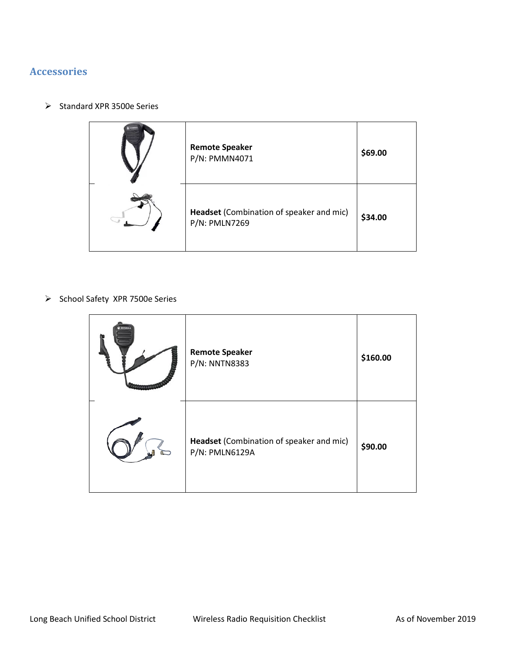# **Accessories**

 $\triangleright$  Standard XPR 3500e Series



 $\triangleright$  School Safety XPR 7500e Series

| <b>Remote Speaker</b><br>P/N: NNTN8383                     | \$160.00 |
|------------------------------------------------------------|----------|
| Headset (Combination of speaker and mic)<br>P/N: PMLN6129A | \$90.00  |